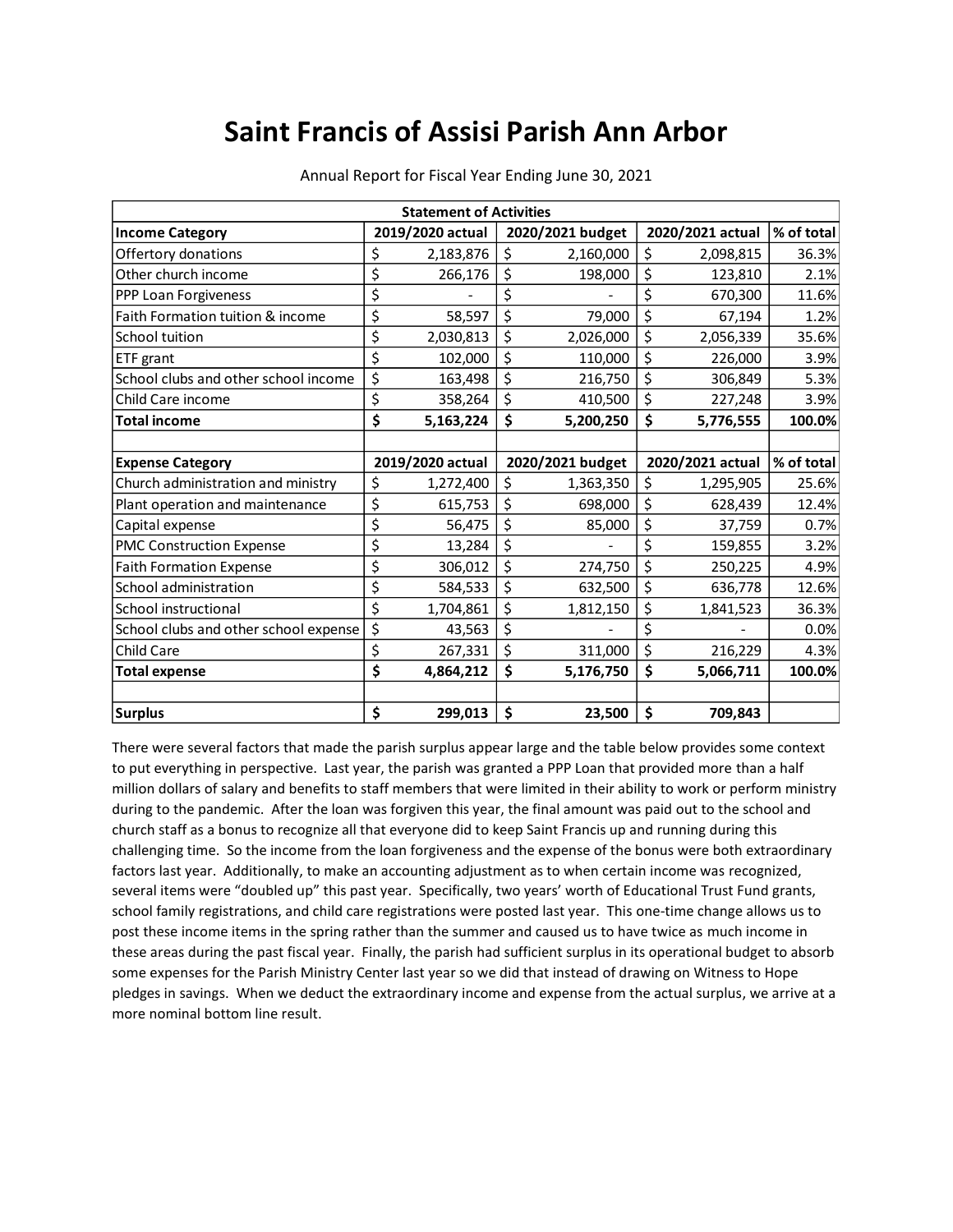## **Saint Francis of Assisi Parish Ann Arbor**

| <b>Statement of Activities</b>        |    |                  |    |                  |    |                  |            |
|---------------------------------------|----|------------------|----|------------------|----|------------------|------------|
| <b>Income Category</b>                |    | 2019/2020 actual |    | 2020/2021 budget |    | 2020/2021 actual | % of total |
| Offertory donations                   | \$ | 2,183,876        | \$ | 2,160,000        | \$ | 2,098,815        | 36.3%      |
| Other church income                   | \$ | 266,176          | \$ | 198,000          | \$ | 123,810          | 2.1%       |
| PPP Loan Forgiveness                  | \$ |                  | \$ |                  | \$ | 670,300          | 11.6%      |
| Faith Formation tuition & income      | \$ | 58,597           | \$ | 79,000           | \$ | 67,194           | 1.2%       |
| School tuition                        | \$ | 2,030,813        | \$ | 2,026,000        | \$ | 2,056,339        | 35.6%      |
| ETF grant                             | \$ | 102,000          | \$ | 110,000          | \$ | 226,000          | 3.9%       |
| School clubs and other school income  | \$ | 163,498          | \$ | 216,750          | \$ | 306,849          | 5.3%       |
| Child Care income                     | \$ | 358,264          | \$ | 410,500          | \$ | 227,248          | 3.9%       |
| <b>Total income</b>                   | \$ | 5,163,224        | \$ | 5,200,250        | \$ | 5,776,555        | 100.0%     |
|                                       |    |                  |    |                  |    |                  |            |
| <b>Expense Category</b>               |    | 2019/2020 actual |    | 2020/2021 budget |    | 2020/2021 actual | % of total |
| Church administration and ministry    | \$ | 1,272,400        | \$ | 1,363,350        | \$ | 1,295,905        | 25.6%      |
| Plant operation and maintenance       | \$ | 615,753          | \$ | 698,000          | \$ | 628,439          | 12.4%      |
| Capital expense                       | \$ | 56,475           | \$ | 85,000           | \$ | 37,759           | 0.7%       |
| PMC Construction Expense              | \$ | 13,284           | \$ |                  | \$ | 159,855          | 3.2%       |
| <b>Faith Formation Expense</b>        | \$ | 306,012          | \$ | 274,750          | \$ | 250,225          | 4.9%       |
| School administration                 | \$ | 584,533          | \$ | 632,500          | \$ | 636,778          | 12.6%      |
| School instructional                  | \$ | 1,704,861        | \$ | 1,812,150        | \$ | 1,841,523        | 36.3%      |
| School clubs and other school expense | \$ | 43,563           | \$ |                  | \$ |                  | 0.0%       |
| Child Care                            | \$ | 267,331          | \$ | 311,000          | \$ | 216,229          | 4.3%       |
| <b>Total expense</b>                  | \$ | 4,864,212        | \$ | 5,176,750        | \$ | 5,066,711        | 100.0%     |
| <b>Surplus</b>                        | \$ | 299,013          | \$ | 23,500           | \$ | 709,843          |            |

Annual Report for Fiscal Year Ending June 30, 2021

There were several factors that made the parish surplus appear large and the table below provides some context to put everything in perspective. Last year, the parish was granted a PPP Loan that provided more than a half million dollars of salary and benefits to staff members that were limited in their ability to work or perform ministry during to the pandemic. After the loan was forgiven this year, the final amount was paid out to the school and church staff as a bonus to recognize all that everyone did to keep Saint Francis up and running during this challenging time. So the income from the loan forgiveness and the expense of the bonus were both extraordinary factors last year. Additionally, to make an accounting adjustment as to when certain income was recognized, several items were "doubled up" this past year. Specifically, two years' worth of Educational Trust Fund grants, school family registrations, and child care registrations were posted last year. This one-time change allows us to post these income items in the spring rather than the summer and caused us to have twice as much income in these areas during the past fiscal year. Finally, the parish had sufficient surplus in its operational budget to absorb some expenses for the Parish Ministry Center last year so we did that instead of drawing on Witness to Hope pledges in savings. When we deduct the extraordinary income and expense from the actual surplus, we arrive at a more nominal bottom line result.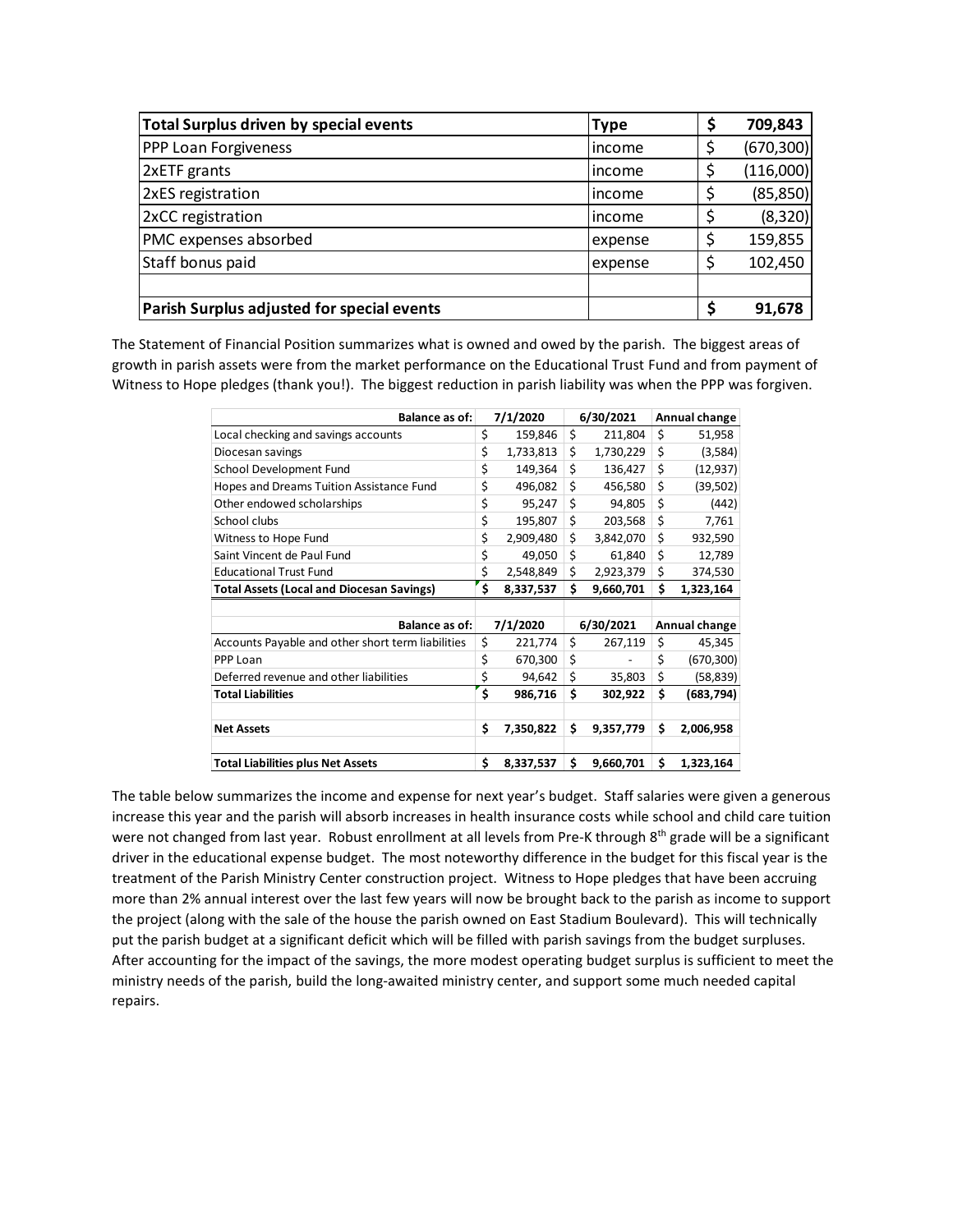| Total Surplus driven by special events     | <b>Type</b> | Ş | 709,843    |
|--------------------------------------------|-------------|---|------------|
| <b>PPP Loan Forgiveness</b>                | lincome     |   | (670, 300) |
| 2xETF grants                               | lincome     |   | (116,000)  |
| 2xES registration                          | lincome     |   | (85, 850)  |
| 2xCC registration                          | lincome     |   | (8, 320)   |
| PMC expenses absorbed                      | expense     |   | 159,855    |
| Staff bonus paid                           | expense     |   | 102,450    |
|                                            |             |   |            |
| Parish Surplus adjusted for special events |             |   | 91,678     |

The Statement of Financial Position summarizes what is owned and owed by the parish. The biggest areas of growth in parish assets were from the market performance on the Educational Trust Fund and from payment of Witness to Hope pledges (thank you!). The biggest reduction in parish liability was when the PPP was forgiven.

| <b>Balance as of:</b>                             | 7/1/2020        |    | 6/30/2021 | Annual change    |
|---------------------------------------------------|-----------------|----|-----------|------------------|
| Local checking and savings accounts               | \$<br>159,846   | \$ | 211,804   | \$<br>51,958     |
| Diocesan savings                                  | \$<br>1,733,813 | \$ | 1,730,229 | \$<br>(3,584)    |
| School Development Fund                           | \$<br>149,364   | \$ | 136,427   | \$<br>(12, 937)  |
| Hopes and Dreams Tuition Assistance Fund          | \$<br>496,082   | \$ | 456,580   | \$<br>(39, 502)  |
| Other endowed scholarships                        | \$<br>95,247    | \$ | 94,805    | \$<br>(442)      |
| School clubs                                      | \$<br>195,807   | \$ | 203,568   | \$<br>7,761      |
| Witness to Hope Fund                              | \$<br>2,909,480 | \$ | 3,842,070 | \$<br>932,590    |
| Saint Vincent de Paul Fund                        | \$<br>49,050    | \$ | 61,840    | \$<br>12,789     |
| <b>Educational Trust Fund</b>                     | \$<br>2,548,849 | \$ | 2,923,379 | \$<br>374,530    |
| <b>Total Assets (Local and Diocesan Savings)</b>  | \$<br>8,337,537 | Ś  | 9,660,701 | \$<br>1,323,164  |
|                                                   |                 |    |           |                  |
| Balance as of:                                    | 7/1/2020        |    | 6/30/2021 | Annual change    |
| Accounts Payable and other short term liabilities | \$<br>221,774   | \$ | 267,119   | \$<br>45,345     |
| PPP Loan                                          | \$<br>670,300   | \$ |           | \$<br>(670, 300) |
| Deferred revenue and other liabilities            | \$<br>94,642    | \$ | 35,803    | \$<br>(58, 839)  |
| <b>Total Liabilities</b>                          | \$<br>986,716   | \$ | 302,922   | \$<br>(683, 794) |
|                                                   |                 |    |           |                  |
| <b>Net Assets</b>                                 | \$<br>7,350,822 | \$ | 9,357,779 | \$<br>2,006,958  |
|                                                   |                 |    |           |                  |
| <b>Total Liabilities plus Net Assets</b>          | \$<br>8,337,537 | Ś  | 9,660,701 | \$<br>1,323,164  |

The table below summarizes the income and expense for next year's budget. Staff salaries were given a generous increase this year and the parish will absorb increases in health insurance costs while school and child care tuition were not changed from last year. Robust enrollment at all levels from Pre-K through 8th grade will be a significant driver in the educational expense budget. The most noteworthy difference in the budget for this fiscal year is the treatment of the Parish Ministry Center construction project. Witness to Hope pledges that have been accruing more than 2% annual interest over the last few years will now be brought back to the parish as income to support the project (along with the sale of the house the parish owned on East Stadium Boulevard). This will technically put the parish budget at a significant deficit which will be filled with parish savings from the budget surpluses. After accounting for the impact of the savings, the more modest operating budget surplus is sufficient to meet the ministry needs of the parish, build the long-awaited ministry center, and support some much needed capital repairs.